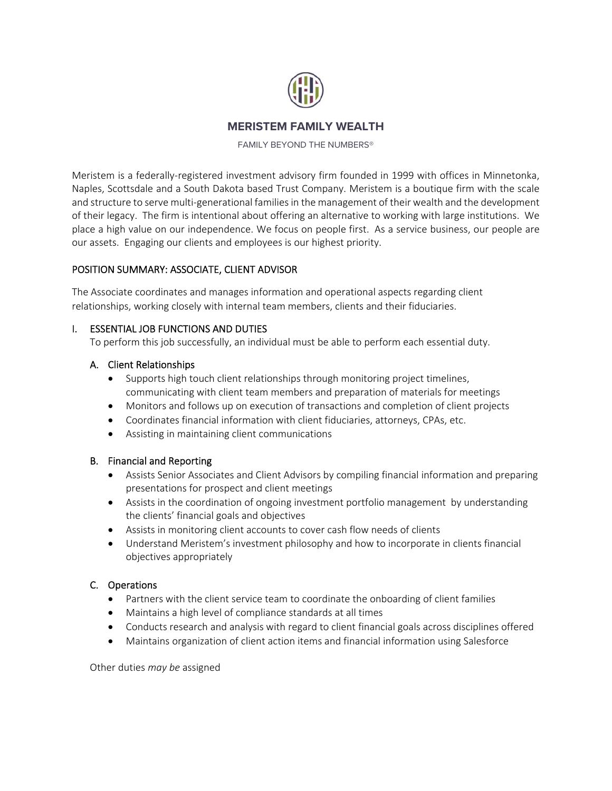

# **MERISTEM FAMILY WEALTH**

FAMILY BEYOND THE NUMBERS®

Meristem is a federally-registered investment advisory firm founded in 1999 with offices in Minnetonka, Naples, Scottsdale and a South Dakota based Trust Company. Meristem is a boutique firm with the scale and structure to serve multi-generational families in the management of their wealth and the development of their legacy. The firm is intentional about offering an alternative to working with large institutions. We place a high value on our independence. We focus on people first. As a service business, our people are our assets. Engaging our clients and employees is our highest priority.

## POSITION SUMMARY: ASSOCIATE, CLIENT ADVISOR

The Associate coordinates and manages information and operational aspects regarding client relationships, working closely with internal team members, clients and their fiduciaries.

## I. ESSENTIAL JOB FUNCTIONS AND DUTIES

To perform this job successfully, an individual must be able to perform each essential duty.

## A. Client Relationships

- Supports high touch client relationships through monitoring project timelines, communicating with client team members and preparation of materials for meetings
- Monitors and follows up on execution of transactions and completion of client projects
- Coordinates financial information with client fiduciaries, attorneys, CPAs, etc.
- Assisting in maintaining client communications

#### B. Financial and Reporting

- Assists Senior Associates and Client Advisors by compiling financial information and preparing presentations for prospect and client meetings
- Assists in the coordination of ongoing investment portfolio management by understanding the clients' financial goals and objectives
- Assists in monitoring client accounts to cover cash flow needs of clients
- Understand Meristem's investment philosophy and how to incorporate in clients financial objectives appropriately

## C. Operations

- Partners with the client service team to coordinate the onboarding of client families
- Maintains a high level of compliance standards at all times
- Conducts research and analysis with regard to client financial goals across disciplines offered
- Maintains organization of client action items and financial information using Salesforce

Other duties *may be* assigned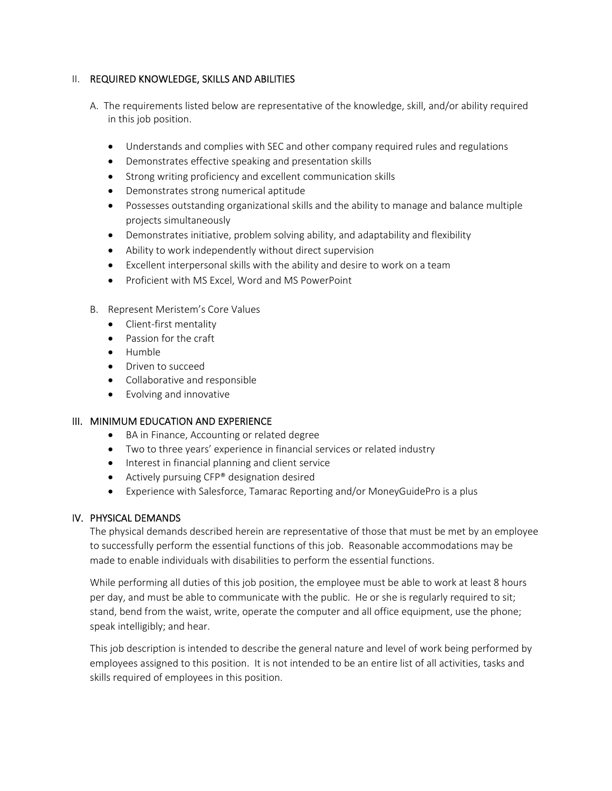## II. REQUIRED KNOWLEDGE, SKILLS AND ABILITIES

- A. The requirements listed below are representative of the knowledge, skill, and/or ability required in this job position.
	- Understands and complies with SEC and other company required rules and regulations
	- Demonstrates effective speaking and presentation skills
	- Strong writing proficiency and excellent communication skills
	- Demonstrates strong numerical aptitude
	- Possesses outstanding organizational skills and the ability to manage and balance multiple projects simultaneously
	- Demonstrates initiative, problem solving ability, and adaptability and flexibility
	- Ability to work independently without direct supervision
	- Excellent interpersonal skills with the ability and desire to work on a team
	- Proficient with MS Excel, Word and MS PowerPoint
- B. Represent Meristem's Core Values
	- Client-first mentality
	- Passion for the craft
	- Humble
	- Driven to succeed
	- Collaborative and responsible
	- Evolving and innovative

#### III. MINIMUM EDUCATION AND EXPERIENCE

- BA in Finance, Accounting or related degree
- Two to three years' experience in financial services or related industry
- Interest in financial planning and client service
- **•** Actively pursuing CFP® designation desired
- Experience with Salesforce, Tamarac Reporting and/or MoneyGuidePro is a plus

#### IV. PHYSICAL DEMANDS

The physical demands described herein are representative of those that must be met by an employee to successfully perform the essential functions of this job. Reasonable accommodations may be made to enable individuals with disabilities to perform the essential functions.

While performing all duties of this job position, the employee must be able to work at least 8 hours per day, and must be able to communicate with the public. He or she is regularly required to sit; stand, bend from the waist, write, operate the computer and all office equipment, use the phone; speak intelligibly; and hear.

This job description is intended to describe the general nature and level of work being performed by employees assigned to this position. It is not intended to be an entire list of all activities, tasks and skills required of employees in this position.